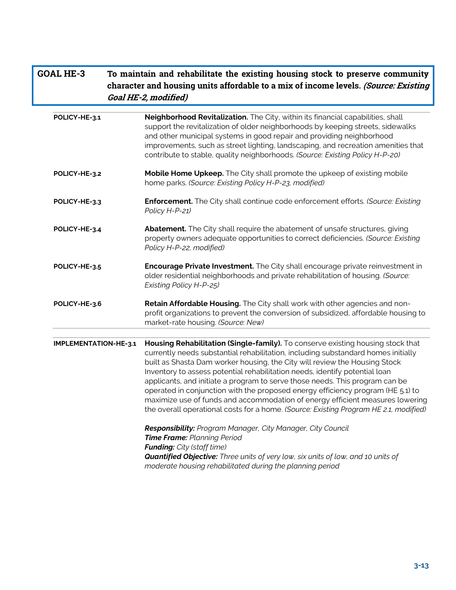| <b>GOAL HE-3</b>      | To maintain and rehabilitate the existing housing stock to preserve community<br>character and housing units affordable to a mix of income levels. (Source: Existing<br>Goal HE-2, modified)                                                                                                                                                                                                                                                                                                                                                                                                                                                                                   |
|-----------------------|--------------------------------------------------------------------------------------------------------------------------------------------------------------------------------------------------------------------------------------------------------------------------------------------------------------------------------------------------------------------------------------------------------------------------------------------------------------------------------------------------------------------------------------------------------------------------------------------------------------------------------------------------------------------------------|
| POLICY-HE-3.1         | Neighborhood Revitalization. The City, within its financial capabilities, shall<br>support the revitalization of older neighborhoods by keeping streets, sidewalks<br>and other municipal systems in good repair and providing neighborhood<br>improvements, such as street lighting, landscaping, and recreation amenities that<br>contribute to stable, quality neighborhoods. (Source: Existing Policy H-P-20)                                                                                                                                                                                                                                                              |
| POLICY-HE-3.2         | Mobile Home Upkeep. The City shall promote the upkeep of existing mobile<br>home parks. (Source: Existing Policy H-P-23, modified)                                                                                                                                                                                                                                                                                                                                                                                                                                                                                                                                             |
| POLICY-HE-3.3         | Enforcement. The City shall continue code enforcement efforts. (Source: Existing<br>Policy H-P-21)                                                                                                                                                                                                                                                                                                                                                                                                                                                                                                                                                                             |
| POLICY-HE-3.4         | Abatement. The City shall require the abatement of unsafe structures, giving<br>property owners adequate opportunities to correct deficiencies. (Source: Existing<br>Policy H-P-22, modified)                                                                                                                                                                                                                                                                                                                                                                                                                                                                                  |
| POLICY-HE-3.5         | Encourage Private Investment. The City shall encourage private reinvestment in<br>older residential neighborhoods and private rehabilitation of housing. (Source:<br>Existing Policy H-P-25)                                                                                                                                                                                                                                                                                                                                                                                                                                                                                   |
| POLICY-HE-3.6         | Retain Affordable Housing. The City shall work with other agencies and non-<br>profit organizations to prevent the conversion of subsidized, affordable housing to<br>market-rate housing. (Source: New)                                                                                                                                                                                                                                                                                                                                                                                                                                                                       |
| IMPLEMENTATION-HE-3.1 | Housing Rehabilitation (Single-family). To conserve existing housing stock that<br>currently needs substantial rehabilitation, including substandard homes initially<br>built as Shasta Dam worker housing, the City will review the Housing Stock<br>Inventory to assess potential rehabilitation needs, identify potential loan<br>applicants, and initiate a program to serve those needs. This program can be<br>operated in conjunction with the proposed energy efficiency program (HE 5.1) to<br>maximize use of funds and accommodation of energy efficient measures lowering<br>the overall operational costs for a home. (Source: Existing Program HE 2.1, modified) |
|                       | Responsibility: Program Manager, City Manager, City Council<br>Time Frame: Planning Period<br><b>Funding:</b> City (staff time)<br><b>Quantified Objective:</b> Three units of very low, six units of low, and 10 units of<br>moderate housing rehabilitated during the planning period                                                                                                                                                                                                                                                                                                                                                                                        |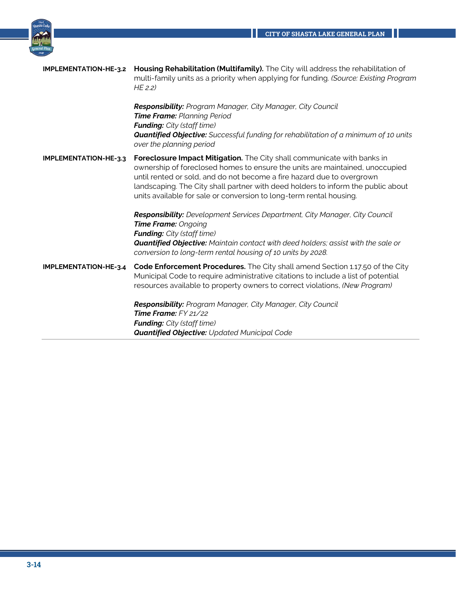Ш



|                              | <b>IMPLEMENTATION-HE-3.2 Housing Rehabilitation (Multifamily).</b> The City will address the rehabilitation of<br>multi-family units as a priority when applying for funding. (Source: Existing Program<br>$HE$ 2.2)                                                                                                                                                                         |
|------------------------------|----------------------------------------------------------------------------------------------------------------------------------------------------------------------------------------------------------------------------------------------------------------------------------------------------------------------------------------------------------------------------------------------|
|                              | <b>Responsibility:</b> Program Manager, City Manager, City Council<br>Time Frame: Planning Period<br><b>Funding:</b> City (staff time)<br><b>Quantified Objective:</b> Successful funding for rehabilitation of a minimum of 10 units<br>over the planning period                                                                                                                            |
| <b>IMPLEMENTATION-HE-3.3</b> | Foreclosure Impact Mitigation. The City shall communicate with banks in<br>ownership of foreclosed homes to ensure the units are maintained, unoccupied<br>until rented or sold, and do not become a fire hazard due to overgrown<br>landscaping. The City shall partner with deed holders to inform the public about<br>units available for sale or conversion to long-term rental housing. |
|                              | <b>Responsibility:</b> Development Services Department, City Manager, City Council<br><b>Time Frame: Ongoing</b><br><b>Funding:</b> City (staff time)<br><b>Quantified Objective:</b> Maintain contact with deed holders; assist with the sale or<br>conversion to long-term rental housing of 10 units by 2028.                                                                             |
| IMPLEMENTATION-HE-3.4        | Code Enforcement Procedures. The City shall amend Section 1.17.50 of the City<br>Municipal Code to require administrative citations to include a list of potential<br>resources available to property owners to correct violations, (New Program)                                                                                                                                            |
|                              | Responsibility: Program Manager, City Manager, City Council<br>Time Frame: $FY$ 21/22<br><b>Funding:</b> City (staff time)<br><b>Quantified Objective: Updated Municipal Code</b>                                                                                                                                                                                                            |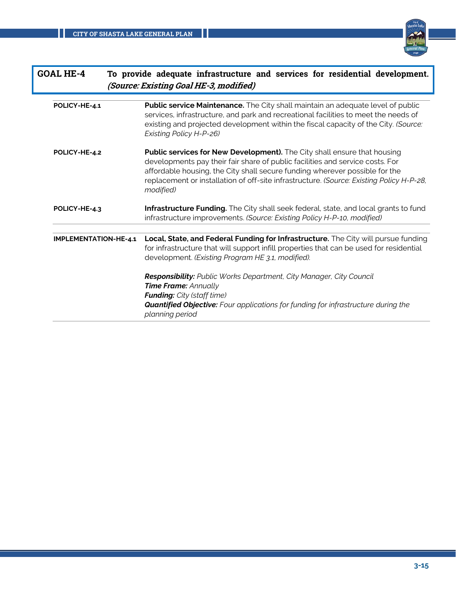

| <b>GOAL HE-4</b>             | To provide adequate infrastructure and services for residential development.<br>(Source: Existing Goal HE-3, modified)                                                                                                                                                                                                                                   |
|------------------------------|----------------------------------------------------------------------------------------------------------------------------------------------------------------------------------------------------------------------------------------------------------------------------------------------------------------------------------------------------------|
| POLICY-HE-4.1                | <b>Public service Maintenance.</b> The City shall maintain an adequate level of public<br>services, infrastructure, and park and recreational facilities to meet the needs of<br>existing and projected development within the fiscal capacity of the City. (Source:<br>Existing Policy H-P-26)                                                          |
| POLICY-HE-4.2                | <b>Public services for New Development).</b> The City shall ensure that housing<br>developments pay their fair share of public facilities and service costs. For<br>affordable housing, the City shall secure funding wherever possible for the<br>replacement or installation of off-site infrastructure. (Source: Existing Policy H-P-28,<br>modified) |
| POLICY-HE-4.3                | Infrastructure Funding. The City shall seek federal, state, and local grants to fund<br>infrastructure improvements. (Source: Existing Policy H-P-10, modified)                                                                                                                                                                                          |
|                              |                                                                                                                                                                                                                                                                                                                                                          |
| <b>IMPLEMENTATION-HE-4.1</b> | Local, State, and Federal Funding for Infrastructure. The City will pursue funding<br>for infrastructure that will support infill properties that can be used for residential<br>development. (Existing Program HE 3.1, modified).                                                                                                                       |
|                              | <b>Responsibility:</b> Public Works Department, City Manager, City Council<br><b>Time Frame: Annually</b><br><b>Funding:</b> City (staff time)<br><b>Quantified Objective:</b> Four applications for funding for infrastructure during the<br>planning period                                                                                            |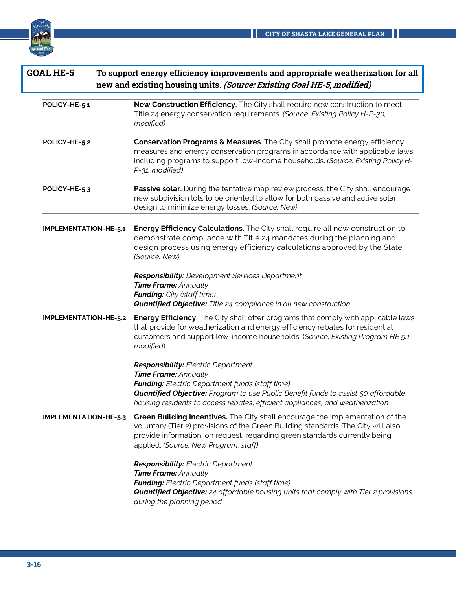

Ш

| <b>GOAL HE-5</b>             | To support energy efficiency improvements and appropriate weatherization for all<br>new and existing housing units. (Source: Existing Goal HE-5, modified)                                                                                                                                                       |
|------------------------------|------------------------------------------------------------------------------------------------------------------------------------------------------------------------------------------------------------------------------------------------------------------------------------------------------------------|
| POLICY-HE-5.1                | New Construction Efficiency. The City shall require new construction to meet<br>Title 24 energy conservation requirements. (Source: Existing Policy H-P-30,<br>modified)                                                                                                                                         |
| POLICY-HE-5.2                | Conservation Programs & Measures. The City shall promote energy efficiency<br>measures and energy conservation programs in accordance with applicable laws,<br>including programs to support low-income households. (Source: Existing Policy H-<br>P-31, modified)                                               |
| POLICY-HE-5.3                | Passive solar. During the tentative map review process, the City shall encourage<br>new subdivision lots to be oriented to allow for both passive and active solar<br>design to minimize energy losses. (Source: New)                                                                                            |
| IMPLEMENTATION-HE-5.1        | <b>Energy Efficiency Calculations.</b> The City shall require all new construction to<br>demonstrate compliance with Title 24 mandates during the planning and<br>design process using energy efficiency calculations approved by the State.<br>(Source: New)                                                    |
|                              | <b>Responsibility:</b> Development Services Department<br>Time Frame: Annually<br><b>Funding:</b> City (staff time)<br><b>Quantified Objective:</b> Title 24 compliance in all new construction                                                                                                                  |
| <b>IMPLEMENTATION-HE-5.2</b> | <b>Energy Efficiency.</b> The City shall offer programs that comply with applicable laws<br>that provide for weatherization and energy efficiency rebates for residential<br>customers and support low-income households. (Source: Existing Program HE 5.1,<br>modified)                                         |
|                              | <b>Responsibility:</b> Electric Department<br><b>Time Frame: Annually</b><br><b>Funding:</b> Electric Department funds (staff time)<br><b>Quantified Objective:</b> Program to use Public Benefit funds to assist 50 affordable<br>housing residents to access rebates, efficient appliances, and weatherization |
| IMPLEMENTATION-HE-5.3        | Green Building Incentives. The City shall encourage the implementation of the<br>voluntary (Tier 2) provisions of the Green Building standards. The City will also<br>provide information, on request, regarding green standards currently being<br>applied. (Source: New Program, staff)                        |
|                              | <b>Responsibility:</b> Electric Department<br>Time Frame: Annually<br><b>Funding:</b> Electric Department funds (staff time)<br><b>Quantified Objective:</b> 24 affordable housing units that comply with Tier 2 provisions<br>during the planning period                                                        |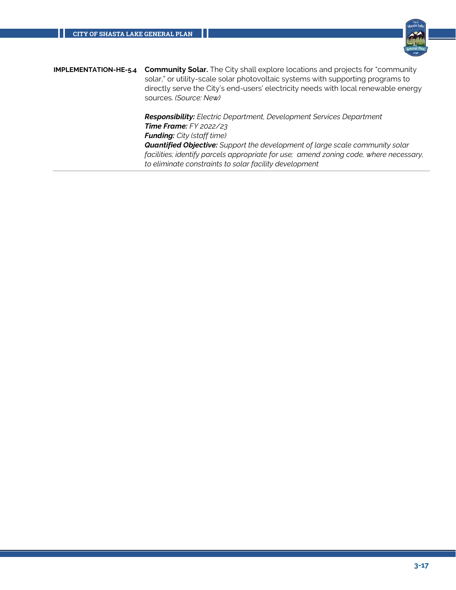

**IMPLEMENTATION-HE-5.4 Community Solar.** The City shall explore locations and projects for "community solar," or utility-scale solar photovoltaic systems with supporting programs to directly serve the City's end-users' electricity needs with local renewable energy sources. *(Source: New) Responsibility: Electric Department, Development Services Department Time Frame: FY 2022/23 Funding: City (staff time) Quantified Objective: Support the development of large scale community solar facilities; identify parcels appropriate for use; amend zoning code, where necessary,* 

*to eliminate constraints to solar facility development*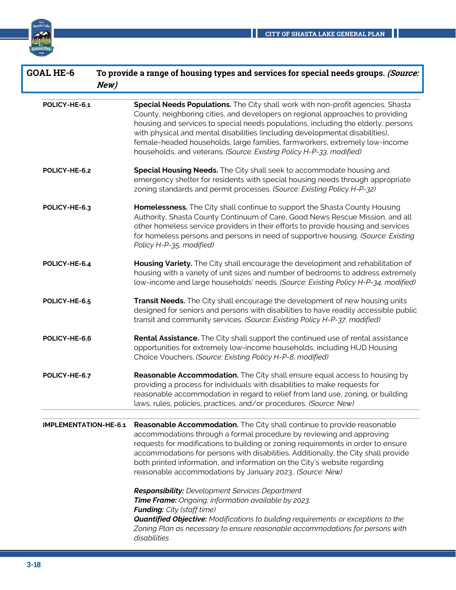

| <b>GOAL HE-6</b>             | To provide a range of housing types and services for special needs groups. (Source:<br>New)                                                                                                                                                                                                                                                                                                                                                                                                                                  |
|------------------------------|------------------------------------------------------------------------------------------------------------------------------------------------------------------------------------------------------------------------------------------------------------------------------------------------------------------------------------------------------------------------------------------------------------------------------------------------------------------------------------------------------------------------------|
| POLICY-HE-6.1                | Special Needs Populations. The City shall work with non-profit agencies, Shasta<br>County, neighboring cities, and developers on regional approaches to providing<br>housing and services to special needs populations, including the elderly, persons<br>with physical and mental disabilities (including developmental disabilities),<br>female-headed households, large families, farmworkers, extremely low-income<br>households, and veterans. (Source: Existing Policy H-P-33, modified)                               |
| POLICY-HE-6.2                | Special Housing Needs. The City shall seek to accommodate housing and<br>emergency shelter for residents with special housing needs through appropriate<br>zoning standards and permit processes. (Source: Existing Policy H-P-32)                                                                                                                                                                                                                                                                                           |
| POLICY-HE-6.3                | Homelessness. The City shall continue to support the Shasta County Housing<br>Authority, Shasta County Continuum of Care, Good News Rescue Mission, and all<br>other homeless service providers in their efforts to provide housing and services<br>for homeless persons and persons in need of supportive housing. (Source: Existing<br>Policy H-P-35, modified)                                                                                                                                                            |
| POLICY-HE-6.4                | Housing Variety. The City shall encourage the development and rehabilitation of<br>housing with a variety of unit sizes and number of bedrooms to address extremely<br>low-income and large households' needs. (Source: Existing Policy H-P-34, modified)                                                                                                                                                                                                                                                                    |
| POLICY-HE-6.5                | Transit Needs. The City shall encourage the development of new housing units<br>designed for seniors and persons with disabilities to have readily accessible public<br>transit and community services. (Source: Existing Policy H-P-37, modified)                                                                                                                                                                                                                                                                           |
| POLICY-HE-6.6                | Rental Assistance. The City shall support the continued use of rental assistance<br>opportunities for extremely low-income households, including HUD Housing<br>Choice Vouchers. (Source: Existing Policy H-P-8, modified)                                                                                                                                                                                                                                                                                                   |
| POLICY-HE-6.7                | Reasonable Accommodation. The City shall ensure equal access to housing by<br>providing a process for individuals with disabilities to make requests for<br>reasonable accommodation in regard to relief from land use, zoning, or building<br>laws, rules, policies, practices, and/or procedures. (Source: New)                                                                                                                                                                                                            |
| <b>IMPLEMENTATION-HE-6.1</b> | Reasonable Accommodation. The City shall continue to provide reasonable<br>accommodations through a formal procedure by reviewing and approving<br>requests for modifications to building or zoning requirements in order to ensure<br>accommodations for persons with disabilities. Additionally, the City shall provide<br>both printed information, and information on the City's website regarding<br>reasonable accommodations by January 2023. (Source: New)<br><b>Responsibility:</b> Development Services Department |
|                              | Time Frame: Ongoing; information available by 2023.<br><b>Funding:</b> City (staff time)<br><b>Quantified Objective:</b> Modifications to building requirements or exceptions to the<br>Zoning Plan as necessary to ensure reasonable accommodations for persons with<br>disabilities                                                                                                                                                                                                                                        |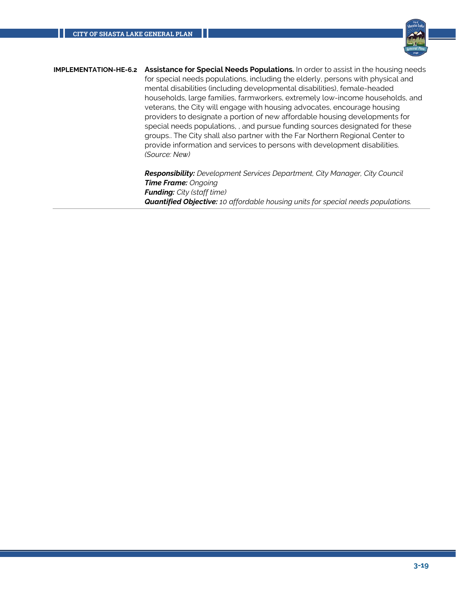

**IMPLEMENTATION-HE-6.2 Assistance for Special Needs Populations.** In order to assist in the housing needs for special needs populations, including the elderly, persons with physical and mental disabilities (including developmental disabilities), female-headed households, large families, farmworkers, extremely low-income households, and veterans, the City will engage with housing advocates, encourage housing providers to designate a portion of new affordable housing developments for special needs populations, , and pursue funding sources designated for these groups.. The City shall also partner with the Far Northern Regional Center to provide information and services to persons with development disabilities. *(Source: New)*

> *Responsibility: Development Services Department, City Manager, City Council Time Frame: Ongoing Funding: City (staff time) Quantified Objective: 10 affordable housing units for special needs populations.*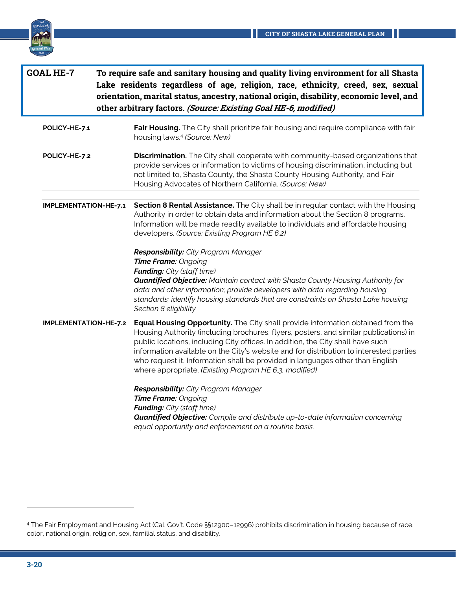

| <b>GOAL HE-7</b> |                       | To require safe and sanitary housing and quality living environment for all Shasta<br>Lake residents regardless of age, religion, race, ethnicity, creed, sex, sexual<br>orientation, marital status, ancestry, national origin, disability, economic level, and<br>other arbitrary factors. (Source: Existing Goal HE-6, modified)                                                                                                                                                              |  |
|------------------|-----------------------|--------------------------------------------------------------------------------------------------------------------------------------------------------------------------------------------------------------------------------------------------------------------------------------------------------------------------------------------------------------------------------------------------------------------------------------------------------------------------------------------------|--|
|                  | POLICY-HE-7.1         | Fair Housing. The City shall prioritize fair housing and require compliance with fair<br>housing laws. <sup>4</sup> (Source: New)                                                                                                                                                                                                                                                                                                                                                                |  |
|                  | POLICY-HE-7.2         | Discrimination. The City shall cooperate with community-based organizations that<br>provide services or information to victims of housing discrimination, including but<br>not limited to, Shasta County, the Shasta County Housing Authority, and Fair<br>Housing Advocates of Northern California. (Source: New)                                                                                                                                                                               |  |
|                  | IMPLEMENTATION-HE-7.1 | Section 8 Rental Assistance. The City shall be in regular contact with the Housing<br>Authority in order to obtain data and information about the Section 8 programs.<br>Information will be made readily available to individuals and affordable housing<br>developers. (Source: Existing Program HE 6.2)                                                                                                                                                                                       |  |
|                  |                       | Responsibility: City Program Manager<br>Time Frame: Ongoing<br><b>Funding:</b> City (staff time)<br><b>Quantified Objective:</b> Maintain contact with Shasta County Housing Authority for<br>data and other information; provide developers with data regarding housing<br>standards; identify housing standards that are constraints on Shasta Lake housing<br>Section 8 eligibility                                                                                                           |  |
|                  | IMPLEMENTATION-HE-7.2 | Equal Housing Opportunity. The City shall provide information obtained from the<br>Housing Authority (including brochures, flyers, posters, and similar publications) in<br>public locations, including City offices. In addition, the City shall have such<br>information available on the City's website and for distribution to interested parties<br>who request it. Information shall be provided in languages other than English<br>where appropriate. (Existing Program HE 6.3, modified) |  |
|                  |                       | Responsibility: City Program Manager<br>Time Frame: Ongoing<br><b>Funding:</b> City (staff time)<br>Quantified Objective: Compile and distribute up-to-date information concerning<br>equal opportunity and enforcement on a routine basis.                                                                                                                                                                                                                                                      |  |

<sup>4</sup> The Fair Employment and Housing Act (Cal. Gov't. Code §§12900–12996) prohibits discrimination in housing because of race, color, national origin, religion, sex, familial status, and disability.